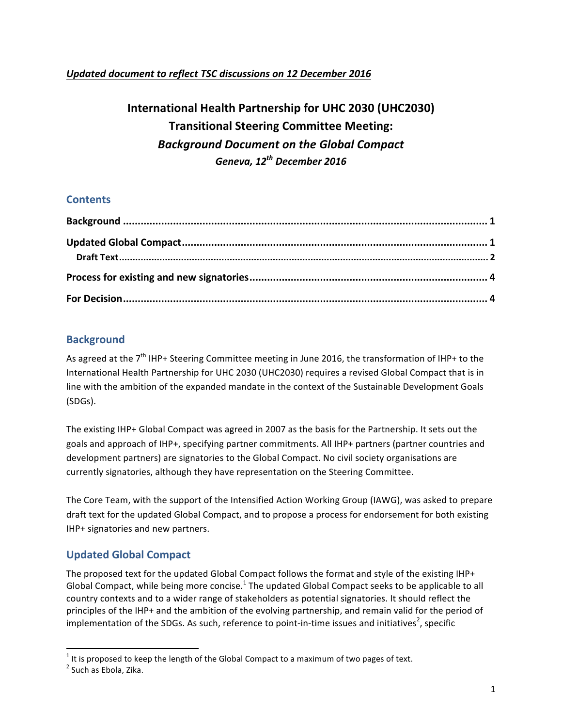## *Updated document to reflect TSC discussions on 12 December 2016*

# **International Health Partnership for UHC 2030 (UHC2030) Transitional Steering Committee Meeting:** *Background Document on the Global Compact Geneva, 12th December 2016*

## **Contents**

## **Background**

As agreed at the  $7<sup>th</sup>$  IHP+ Steering Committee meeting in June 2016, the transformation of IHP+ to the International Health Partnership for UHC 2030 (UHC2030) requires a revised Global Compact that is in line with the ambition of the expanded mandate in the context of the Sustainable Development Goals (SDGs).

The existing IHP+ Global Compact was agreed in 2007 as the basis for the Partnership. It sets out the goals and approach of IHP+, specifying partner commitments. All IHP+ partners (partner countries and development partners) are signatories to the Global Compact. No civil society organisations are currently signatories, although they have representation on the Steering Committee.

The Core Team, with the support of the Intensified Action Working Group (IAWG), was asked to prepare draft text for the updated Global Compact, and to propose a process for endorsement for both existing IHP+ signatories and new partners.

# **Updated Global Compact**

 

The proposed text for the updated Global Compact follows the format and style of the existing IHP+ Global Compact, while being more concise.<sup>1</sup> The updated Global Compact seeks to be applicable to all country contexts and to a wider range of stakeholders as potential signatories. It should reflect the principles of the IHP+ and the ambition of the evolving partnership, and remain valid for the period of implementation of the SDGs. As such, reference to point-in-time issues and initiatives<sup>2</sup>, specific

<sup>&</sup>lt;sup>1</sup> It is proposed to keep the length of the Global Compact to a maximum of two pages of text.<br><sup>2</sup> Such as Ebola, Zika.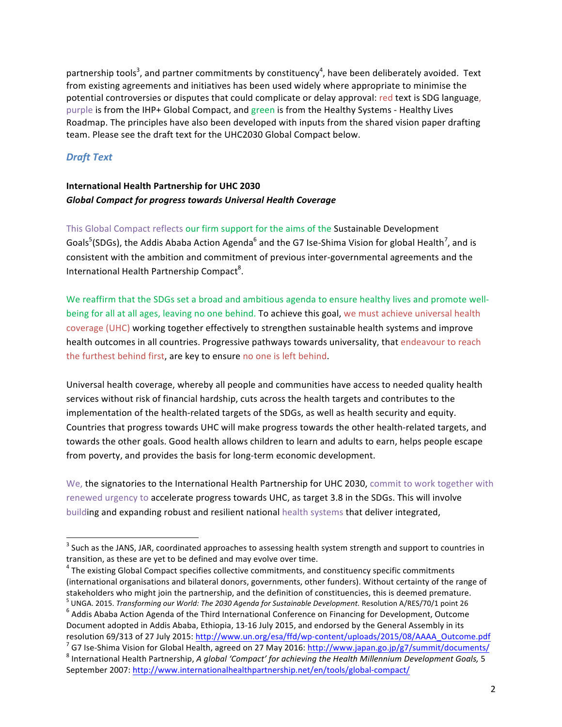partnership tools<sup>3</sup>, and partner commitments by constituency<sup>4</sup>, have been deliberately avoided. Text from existing agreements and initiatives has been used widely where appropriate to minimise the potential controversies or disputes that could complicate or delay approval: red text is SDG language, purple is from the IHP+ Global Compact, and green is from the Healthy Systems - Healthy Lives Roadmap. The principles have also been developed with inputs from the shared vision paper drafting team. Please see the draft text for the UHC2030 Global Compact below.

#### *Draft Text*

## **International Health Partnership for UHC 2030** *Global Compact for progress towards Universal Health Coverage*

This Global Compact reflects our firm support for the aims of the Sustainable Development Goals<sup>5</sup>(SDGs), the Addis Ababa Action Agenda<sup>6</sup> and the G7 Ise-Shima Vision for global Health<sup>7</sup>, and is consistent with the ambition and commitment of previous inter-governmental agreements and the International Health Partnership Compact<sup>8</sup>.

We reaffirm that the SDGs set a broad and ambitious agenda to ensure healthy lives and promote wellbeing for all at all ages, leaving no one behind. To achieve this goal, we must achieve universal health coverage (UHC) working together effectively to strengthen sustainable health systems and improve health outcomes in all countries. Progressive pathways towards universality, that endeavour to reach the furthest behind first, are key to ensure no one is left behind.

Universal health coverage, whereby all people and communities have access to needed quality health services without risk of financial hardship, cuts across the health targets and contributes to the implementation of the health-related targets of the SDGs, as well as health security and equity. Countries that progress towards UHC will make progress towards the other health-related targets, and towards the other goals. Good health allows children to learn and adults to earn, helps people escape from poverty, and provides the basis for long-term economic development.

We, the signatories to the International Health Partnership for UHC 2030, commit to work together with renewed urgency to accelerate progress towards UHC, as target 3.8 in the SDGs. This will involve building and expanding robust and resilient national health systems that deliver integrated,

 $3$  Such as the JANS, JAR, coordinated approaches to assessing health system strength and support to countries in transition, as these are yet to be defined and may evolve over time.

 $4$  The existing Global Compact specifies collective commitments, and constituency specific commitments (international organisations and bilateral donors, governments, other funders). Without certainty of the range of stakeholders who might join the partnership, and the definition of constituencies, this is deemed premature.<br><sup>5</sup> UNGA. 2015. Transforming our World: The 2030 Agenda for Sustainable Development. Resolution A/RES/70/1 point

 $<sup>6</sup>$  Addis Ababa Action Agenda of the Third International Conference on Financing for Development, Outcome</sup> Document adopted in Addis Ababa, Ethiopia, 13-16 July 2015, and endorsed by the General Assembly in its

resolution 69/313 of 27 July 2015: http://www.un.org/esa/ffd/wp-content/uploads/2015/08/AAAA\_Outcome.pdf<br>
<sup>7</sup> G7 Ise-Shima Vision for Global Health, agreed on 27 May 2016: http://www.japan.go.jp/g7/summit/documents/<br>
<sup>8</sup> I

September 2007: http://www.internationalhealthpartnership.net/en/tools/global-compact/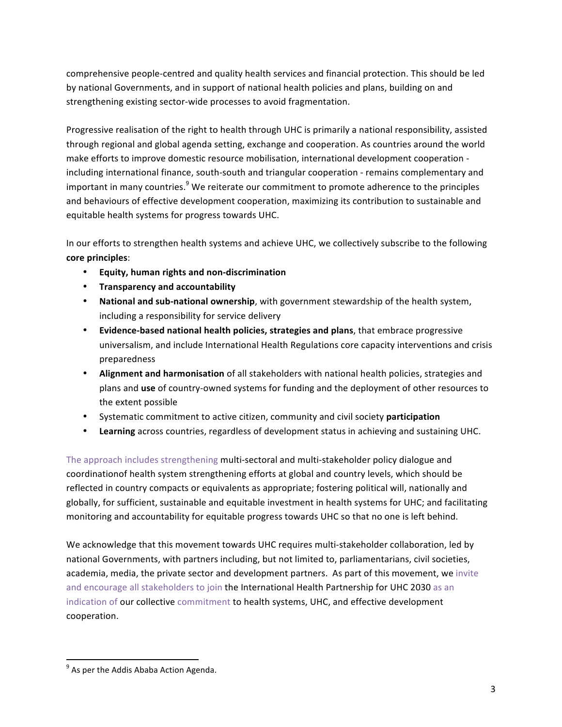comprehensive people-centred and quality health services and financial protection. This should be led by national Governments, and in support of national health policies and plans, building on and strengthening existing sector-wide processes to avoid fragmentation.

Progressive realisation of the right to health through UHC is primarily a national responsibility, assisted through regional and global agenda setting, exchange and cooperation. As countries around the world make efforts to improve domestic resource mobilisation, international development cooperation including international finance, south-south and triangular cooperation - remains complementary and important in many countries.<sup>9</sup> We reiterate our commitment to promote adherence to the principles and behaviours of effective development cooperation, maximizing its contribution to sustainable and equitable health systems for progress towards UHC.

In our efforts to strengthen health systems and achieve UHC, we collectively subscribe to the following **core principles**: 

- **Equity, human rights and non-discrimination**
- **Transparency and accountability**
- National and sub-national ownership, with government stewardship of the health system, including a responsibility for service delivery
- Evidence-based national health policies, strategies and plans, that embrace progressive universalism, and include International Health Regulations core capacity interventions and crisis preparedness
- Alignment and harmonisation of all stakeholders with national health policies, strategies and plans and use of country-owned systems for funding and the deployment of other resources to the extent possible
- Systematic commitment to active citizen, community and civil society participation
- **Learning** across countries, regardless of development status in achieving and sustaining UHC.

The approach includes strengthening multi-sectoral and multi-stakeholder policy dialogue and coordinationof health system strengthening efforts at global and country levels, which should be reflected in country compacts or equivalents as appropriate; fostering political will, nationally and globally, for sufficient, sustainable and equitable investment in health systems for UHC; and facilitating monitoring and accountability for equitable progress towards UHC so that no one is left behind.

We acknowledge that this movement towards UHC requires multi-stakeholder collaboration, led by national Governments, with partners including, but not limited to, parliamentarians, civil societies, academia, media, the private sector and development partners. As part of this movement, we invite and encourage all stakeholders to join the International Health Partnership for UHC 2030 as an indication of our collective commitment to health systems, UHC, and effective development cooperation. 

 

 $9$  As per the Addis Ababa Action Agenda.